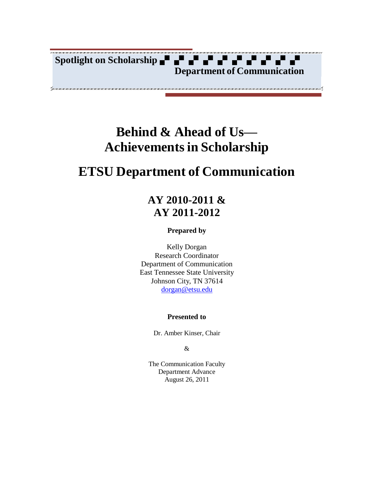

# **Behind & Ahead of Us— Achievementsin Scholarship**

# **ETSU Department of Communication**

## **AY 2010-2011 & AY 2011-2012**

#### **Prepared by**

Kelly Dorgan Research Coordinator Department of Communication East Tennessee State University Johnson City, TN 37614 [dorgan@etsu.edu](mailto:dorgan@etsu.edu)

#### **Presented to**

Dr. Amber Kinser, Chair

#### &

The Communication Faculty Department Advance August 26, 2011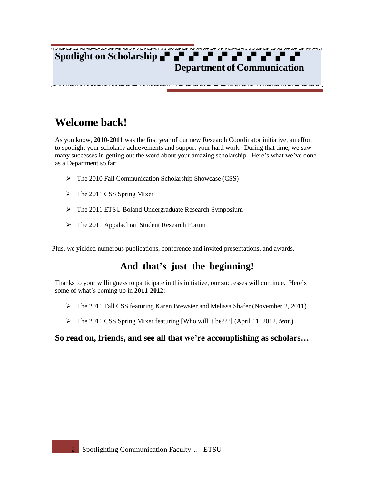# **Spotlight on Scholarship Department of Communication**

# **Welcome back!**

As you know, **2010-2011** was the first year of our new Research Coordinator initiative, an effort to spotlight your scholarly achievements and support your hard work. During that time, we saw many successes in getting out the word about your amazing scholarship. Here's what we've done as a Department so far:

- $\triangleright$  The 2010 Fall Communication Scholarship Showcase (CSS)
- $\triangleright$  The 2011 CSS Spring Mixer
- > The 2011 ETSU Boland Undergraduate Research Symposium
- The 2011 Appalachian Student Research Forum

Plus, we yielded numerous publications, conference and invited presentations, and awards.

## **And that's just the beginning!**

Thanks to your willingness to participate in this initiative, our successes will continue. Here's some of what's coming up in **2011-2012**:

- $\triangleright$  The 2011 Fall CSS featuring Karen Brewster and Melissa Shafer (November 2, 2011)
- The 2011 CSS Spring Mixer featuring [Who will it be???] (April 11, 2012, *tent.*)

### **So read on, friends, and see all that we're accomplishing as scholars…**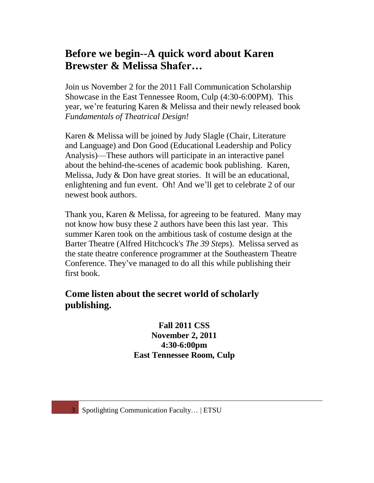## **Before we begin--A quick word about Karen Brewster & Melissa Shafer…**

Join us November 2 for the 2011 Fall Communication Scholarship Showcase in the East Tennessee Room, Culp (4:30-6:00PM). This year, we're featuring Karen & Melissa and their newly released book *Fundamentals of Theatrical Design!*

Karen & Melissa will be joined by Judy Slagle (Chair, Literature and Language) and Don Good (Educational Leadership and Policy Analysis)—These authors will participate in an interactive panel about the behind-the-scenes of academic book publishing. Karen, Melissa, Judy & Don have great stories. It will be an educational, enlightening and fun event. Oh! And we'll get to celebrate 2 of our newest book authors.

Thank you, Karen & Melissa, for agreeing to be featured. Many may not know how busy these 2 authors have been this last year. This summer Karen took on the ambitious task of costume design at the Barter Theatre (Alfred Hitchcock's *The 39 Steps*). Melissa served as the state theatre conference programmer at the Southeastern Theatre Conference. They've managed to do all this while publishing their first book.

## **Come listen about the secret world of scholarly publishing.**

## **Fall 2011 CSS November 2, 2011 4:30-6:00pm East Tennessee Room, Culp**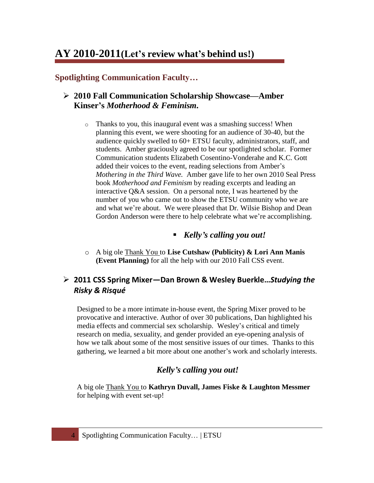## **AY 2010-2011(Let's review what's behind us!)**

**Spotlighting Communication Faculty…**

## **2010 Fall Communication Scholarship Showcase—Amber Kinser's** *Motherhood & Feminism.*

- o Thanks to you, this inaugural event was a smashing success! When planning this event, we were shooting for an audience of 30-40, but the audience quickly swelled to 60+ ETSU faculty, administrators, staff, and students. Amber graciously agreed to be our spotlighted scholar. Former Communication students Elizabeth Cosentino-Vonderahe and K.C. Gott added their voices to the event, reading selections from Amber's *Mothering in the Third Wave.* Amber gave life to her own 2010 Seal Press book *Motherhood and Feminism* by reading excerpts and leading an interactive Q&A session. On a personal note, I was heartened by the number of you who came out to show the ETSU community who we are and what we're about. We were pleased that Dr. Wilsie Bishop and Dean Gordon Anderson were there to help celebrate what we're accomplishing.
	- *Kelly's calling you out!*
- o A big ole Thank You to **Lise Cutshaw (Publicity) & Lori Ann Manis (Event Planning)** for all the help with our 2010 Fall CSS event.

## **2011 CSS Spring Mixer—Dan Brown & Wesley Buerkle…***Studying the Risky & Risqué*

Designed to be a more intimate in-house event, the Spring Mixer proved to be provocative and interactive. Author of over 30 publications, Dan highlighted his media effects and commercial sex scholarship. Wesley's critical and timely research on media, sexuality, and gender provided an eye-opening analysis of how we talk about some of the most sensitive issues of our times. Thanks to this gathering, we learned a bit more about one another's work and scholarly interests.

## *Kelly's calling you out!*

A big ole Thank You to **Kathryn Duvall, James Fiske & Laughton Messmer** for helping with event set-up!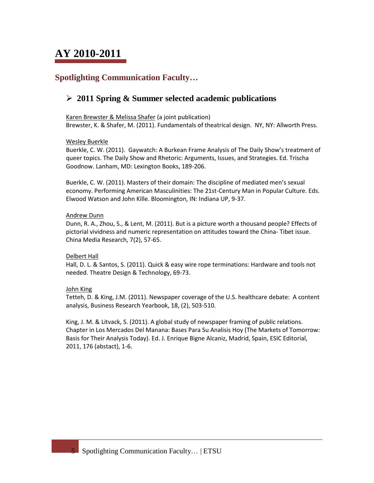## **Spotlighting Communication Faculty…**

## **2011 Spring & Summer selected academic publications**

Karen Brewster & Melissa Shafer (a joint publication) Brewster, K. & Shafer, M. (2011). Fundamentals of theatrical design. NY, NY: Allworth Press.

#### Wesley Buerkle

Buerkle, C. W. (2011). Gaywatch: A Burkean Frame Analysis of The Daily Show's treatment of queer topics. The Daily Show and Rhetoric: Arguments, Issues, and Strategies. Ed. Trischa Goodnow. Lanham, MD: Lexington Books, 189-206.

Buerkle, C. W. (2011). Masters of their domain: The discipline of mediated men's sexual economy. Performing American Masculinities: The 21st-Century Man in Popular Culture. Eds. Elwood Watson and John Kille. Bloomington, IN: Indiana UP, 9-37.

#### Andrew Dunn

Dunn, R. A., Zhou, S., & Lent, M. (2011). But is a picture worth a thousand people? Effects of pictorial vividness and numeric representation on attitudes toward the China- Tibet issue. China Media Research, 7(2), 57-65.

#### Delbert Hall

Hall, D. L. & Santos, S. (2011). Quick & easy wire rope terminations: Hardware and tools not needed. Theatre Design & Technology, 69-73.

#### John King

Tetteh, D. & King, J.M. (2011). Newspaper coverage of the U.S. healthcare debate: A content analysis, Business Research Yearbook, 18, (2), 503-510.

King, J. M. & Litvack, S. (2011). A global study of newspaper framing of public relations. Chapter in Los Mercados Del Manana: Bases Para Su Analisis Hoy (The Markets of Tomorrow: Basis for Their Analysis Today). Ed. J. Enrique Bigne Alcaniz, Madrid, Spain, ESIC Editorial, 2011, 176 (abstact), 1-6.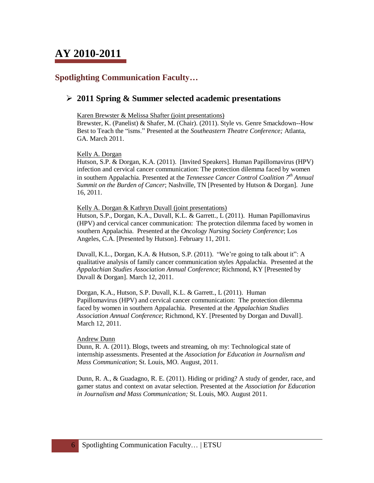## **Spotlighting Communication Faculty…**

### **2011 Spring & Summer selected academic presentations**

Karen Brewster & Melissa Shafter (joint presentations)

Brewster, K. (Panelist) & Shafer, M. (Chair). (2011). Style vs. Genre Smackdown--How Best to Teach the "isms." Presented at the *Southeastern Theatre Conference;* Atlanta, GA. March 2011.

Kelly A. Dorgan

Hutson, S.P. & Dorgan, K.A. (2011). [Invited Speakers]. Human Papillomavirus (HPV) infection and cervical cancer communication: The protection dilemma faced by women in southern Appalachia. Presented at the *Tennessee Cancer Control Coalition 7 th Annual Summit on the Burden of Cancer*; Nashville, TN [Presented by Hutson & Dorgan]. June 16, 2011.

Kelly A. Dorgan & Kathryn Duvall (joint presentations)

Hutson, S.P., Dorgan, K.A., Duvall, K.L. & Garrett., L (2011). Human Papillomavirus (HPV) and cervical cancer communication: The protection dilemma faced by women in southern Appalachia. Presented at the *Oncology Nursing Society Conference*; Los Angeles, C.A. [Presented by Hutson]. February 11, 2011.

Duvall, K.L., Dorgan, K.A. & Hutson, S.P. (2011). "We're going to talk about it": A qualitative analysis of family cancer communication styles Appalachia. Presented at the *Appalachian Studies Association Annual Conference*; Richmond, KY [Presented by Duvall & Dorgan]. March 12, 2011.

Dorgan, K.A., Hutson, S.P. Duvall, K.L. & Garrett., L (2011). Human Papillomavirus (HPV) and cervical cancer communication: The protection dilemma faced by women in southern Appalachia. Presented at the *Appalachian Studies Association Annual Conference*; Richmond, KY. [Presented by Dorgan and Duvall]. March 12, 2011.

#### Andrew Dunn

Dunn, R. A. (2011). Blogs, tweets and streaming, oh my: Technological state of internship assessments. Presented at the *Association for Education in Journalism and Mass Communication*; St. Louis, MO. August, 2011.

Dunn, R. A., & Guadagno, R. E. (2011). Hiding or priding? A study of gender, race, and gamer status and context on avatar selection. Presented at the *Association for Education in Journalism and Mass Communication;* St. Louis, MO. August 2011.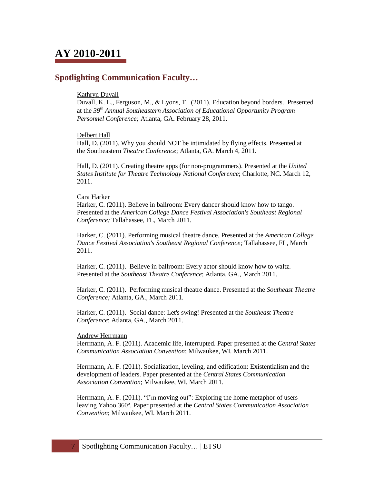### **Spotlighting Communication Faculty…**

#### Kathryn Duvall

Duvall, K. L., Ferguson, M., & Lyons, T. (2011). Education beyond borders. Presented at the *39th Annual Southeastern Association of Educational Opportunity Program Personnel Conference;* Atlanta, GA**.** February 28, 2011.

#### Delbert Hall

Hall, D. (2011). Why you should NOT be intimidated by flying effects. Presented at the Southeastern *Theatre Conference*; Atlanta, GA. March 4, 2011.

Hall, D. (2011). Creating theatre apps (for non-programmers). Presented at the *United States Institute for Theatre Technology National Conference*; Charlotte, NC. March 12, 2011.

#### Cara Harker

Harker, C. (2011). Believe in ballroom: Every dancer should know how to tango. Presented at the *American College Dance Festival Association's Southeast Regional Conference;* Tallahassee, FL, March 2011.

Harker, C. (2011). Performing musical theatre dance*.* Presented at the *American College Dance Festival Association's Southeast Regional Conference;* Tallahassee, FL, March 2011.

Harker, C. (2011). Believe in ballroom: Every actor should know how to waltz. Presented at the *Southeast Theatre Conference*; Atlanta, GA., March 2011.

Harker, C. (2011). Performing musical theatre dance. Presented at the *Southeast Theatre Conference;* Atlanta, GA., March 2011.

Harker, C. (2011). Social dance: Let's swing! Presented at the *Southeast Theatre Conference*; Atlanta, GA., March 2011.

#### Andrew Herrmann

Herrmann, A. F. (2011). Academic life, interrupted. Paper presented at the *Central States Communication Association Convention*; Milwaukee, WI. March 2011.

Herrmann, A. F. (2011). Socialization, leveling, and edification: Existentialism and the development of leaders. Paper presented at the *Central States Communication Association Convention*; Milwaukee, WI. March 2011.

Herrmann, A. F. (2011). "I'm moving out": Exploring the home metaphor of users leaving Yahoo 360º. Paper presented at the *Central States Communication Association Convention*; Milwaukee, WI. March 2011.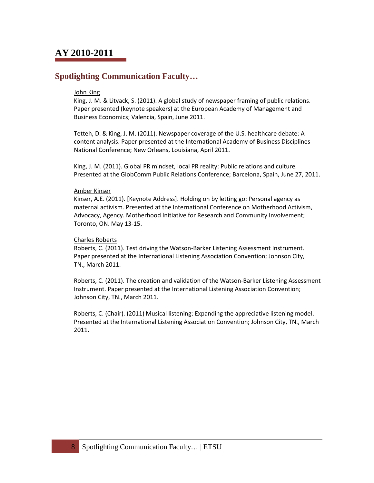## **Spotlighting Communication Faculty…**

#### John King

King, J. M. & Litvack, S. (2011). A global study of newspaper framing of public relations. Paper presented (keynote speakers) at the European Academy of Management and Business Economics; Valencia, Spain, June 2011.

Tetteh, D. & King, J. M. (2011). Newspaper coverage of the U.S. healthcare debate: A content analysis. Paper presented at the International Academy of Business Disciplines National Conference; New Orleans, Louisiana, April 2011.

King, J. M. (2011). Global PR mindset, local PR reality: Public relations and culture. Presented at the GlobComm Public Relations Conference; Barcelona, Spain, June 27, 2011.

#### Amber Kinser

Kinser, A.E. (2011). [Keynote Address]. Holding on by letting go: Personal agency as maternal activism. Presented at the International Conference on Motherhood Activism, Advocacy, Agency. Motherhood Initiative for Research and Community Involvement; Toronto, ON. May 13-15.

#### Charles Roberts

Roberts, C. (2011). Test driving the Watson-Barker Listening Assessment Instrument. Paper presented at the International Listening Association Convention; Johnson City, TN., March 2011.

Roberts, C. (2011). The creation and validation of the Watson-Barker Listening Assessment Instrument. Paper presented at the International Listening Association Convention; Johnson City, TN., March 2011.

Roberts, C. (Chair). (2011) Musical listening: Expanding the appreciative listening model. Presented at the International Listening Association Convention; Johnson City, TN., March 2011.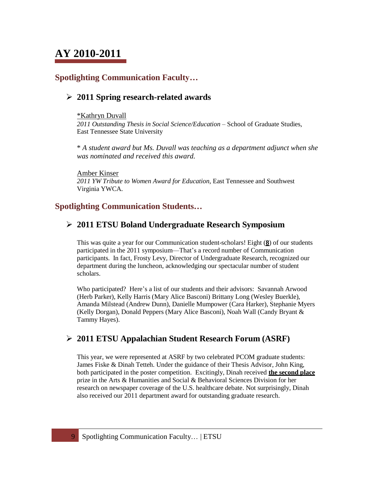## **Spotlighting Communication Faculty…**

## **2011 Spring research-related awards**

#### \*Kathryn Duvall

*2011 Outstanding Thesis in Social Science/Education –* School of Graduate Studies, East Tennessee State University

\* *A student award but Ms. Duvall was teaching as a department adjunct when she was nominated and received this award.*

Amber Kinser *2011 YW Tribute to Women Award for Education*, East Tennessee and Southwest Virginia YWCA.

### **Spotlighting Communication Students…**

### **2011 ETSU Boland Undergraduate Research Symposium**

This was quite a year for our Communication student-scholars! Eight (**8**) of our students participated in the 2011 symposium—That's a record number of Communication participants. In fact, Frosty Levy, Director of Undergraduate Research, recognized our department during the luncheon, acknowledging our spectacular number of student scholars.

Who participated? Here's a list of our students and their advisors: Savannah Arwood (Herb Parker), Kelly Harris (Mary Alice Basconi) Brittany Long (Wesley Buerkle), Amanda Milstead (Andrew Dunn), Danielle Mumpower (Cara Harker), Stephanie Myers (Kelly Dorgan), Donald Peppers (Mary Alice Basconi), Noah Wall (Candy Bryant & Tammy Hayes).

## **2011 ETSU Appalachian Student Research Forum (ASRF)**

This year, we were represented at ASRF by two celebrated PCOM graduate students: James Fiske & Dinah Tetteh. Under the guidance of their Thesis Advisor, John King, both participated in the poster competition. Excitingly, Dinah received **the second place** prize in the Arts & Humanities and Social & Behavioral Sciences Division for her research on newspaper coverage of the U.S. healthcare debate. Not surprisingly, Dinah also received our 2011 department award for outstanding graduate research.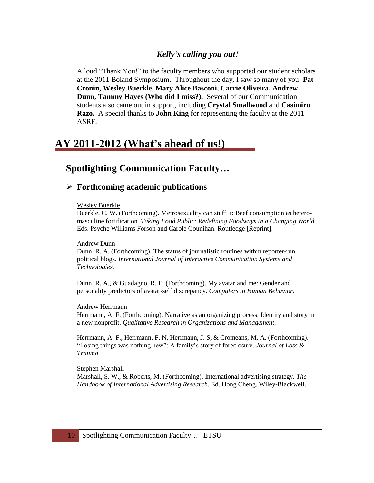### *Kelly's calling you out!*

A loud "Thank You!" to the faculty members who supported our student scholars at the 2011 Boland Symposium. Throughout the day, I saw so many of you: **Pat Cronin, Wesley Buerkle, Mary Alice Basconi, Carrie Oliveira, Andrew Dunn, Tammy Hayes (Who did I miss?).** Several of our Communication students also came out in support, including **Crystal Smallwood** and **Casimiro Razo.** A special thanks to **John King** for representing the faculty at the 2011 ASRF.

## **AY 2011-2012 (What's ahead of us!)**

## **Spotlighting Communication Faculty…**

### **Forthcoming academic publications**

#### Wesley Buerkle

Buerkle, C. W. (Forthcoming). Metrosexuality can stuff it: Beef consumption as heteromasculine fortification. *Taking Food Public: Redefining Foodways in a Changing World*. Eds. Psyche Williams Forson and Carole Counihan. Routledge [Reprint].

#### Andrew Dunn

Dunn, R. A. (Forthcoming). The status of journalistic routines within reporter-run political blogs. *International Journal of Interactive Communication Systems and Technologies.*

Dunn, R. A., & Guadagno, R. E. (Forthcoming). My avatar and me: Gender and personality predictors of avatar-self discrepancy. *Computers in Human Behavior.*

#### Andrew Herrmann

Herrmann, A. F. (Forthcoming). Narrative as an organizing process: Identity and story in a new nonprofit. *Qualitative Research in Organizations and Management.*

Herrmann, A. F., Herrmann, F. N, Herrmann, J. S, & Cromeans, M. A. (Forthcoming). "Losing things was nothing new": A family's story of foreclosure. *Journal of Loss & Trauma*.

#### Stephen Marshall

Marshall, S. W., & Roberts, M. (Forthcoming). International advertising strategy. *The Handbook of International Advertising Research*. Ed. Hong Cheng. Wiley-Blackwell.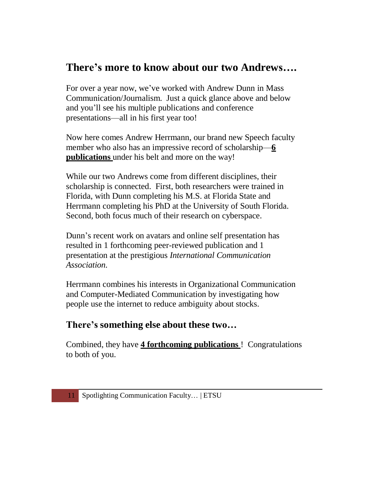## **There's more to know about our two Andrews….**

For over a year now, we've worked with Andrew Dunn in Mass Communication/Journalism. Just a quick glance above and below and you'll see his multiple publications and conference presentations—all in his first year too!

Now here comes Andrew Herrmann, our brand new Speech faculty member who also has an impressive record of scholarship—**6 publications** under his belt and more on the way!

While our two Andrews come from different disciplines, their scholarship is connected. First, both researchers were trained in Florida, with Dunn completing his M.S. at Florida State and Herrmann completing his PhD at the University of South Florida. Second, both focus much of their research on cyberspace.

Dunn's recent work on avatars and online self presentation has resulted in 1 forthcoming peer-reviewed publication and 1 presentation at the prestigious *International Communication Association.*

Herrmann combines his interests in Organizational Communication and Computer-Mediated Communication by investigating how people use the internet to reduce ambiguity about stocks.

## **There's something else about these two…**

Combined, they have **4 forthcoming publications** ! Congratulations to both of you.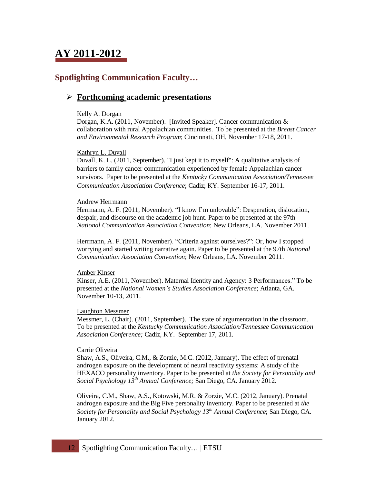# **AY 2011-2012**

## **Spotlighting Communication Faculty…**

### **Forthcoming academic presentations**

#### Kelly A. Dorgan

Dorgan, K.A. (2011, November). [Invited Speaker]. Cancer communication & collaboration with rural Appalachian communities. To be presented at the *Breast Cancer and Environmental Research Program*; Cincinnati, OH, November 17-18, 2011.

#### Kathryn L. Duvall

Duvall, K. L. (2011, September). "I just kept it to myself": A qualitative analysis of barriers to family cancer communication experienced by female Appalachian cancer survivors. Paper to be presented at the *Kentucky Communication Association/Tennessee Communication Association Conference*; Cadiz; KY. September 16-17, 2011.

#### Andrew Herrmann

Herrmann, A. F. (2011, November). "I know I'm unlovable": Desperation, dislocation, despair, and discourse on the academic job hunt. Paper to be presented at the 97th *National Communication Association Convention*; New Orleans, LA. November 2011.

Herrmann, A. F. (2011, November). "Criteria against ourselves?": Or, how I stopped worrying and started writing narrative again. Paper to be presented at the 97th *National Communication Association Convention*; New Orleans, LA. November 2011.

#### Amber Kinser

Kinser, A.E. (2011, November). Maternal Identity and Agency: 3 Performances." To be presented at the *National Women's Studies Association Conference*; Atlanta, GA. November 10-13, 2011.

#### Laughton Messmer

Messmer, L. (Chair). (2011, September). The state of argumentation in the classroom. To be presented at the *Kentucky Communication Association/Tennessee Communication Association Conference;* Cadiz, KY. September 17, 2011.

#### Carrie Oliveira

Shaw, A.S., Oliveira, C.M., & Zorzie, M.C. (2012, January). The effect of prenatal androgen exposure on the development of neural reactivity systems: A study of the HEXACO personality inventory. Paper to be presented at *the Society for Personality and Social Psychology 13 th Annual Conference;* San Diego, CA. January 2012.

Oliveira, C.M., Shaw, A.S., Kotowski, M.R. & Zorzie, M.C. (2012, January). Prenatal androgen exposure and the Big Five personality inventory. Paper to be presented at *the Society for Personality and Social Psychology 13th Annual Conference*; San Diego, CA. January 2012.